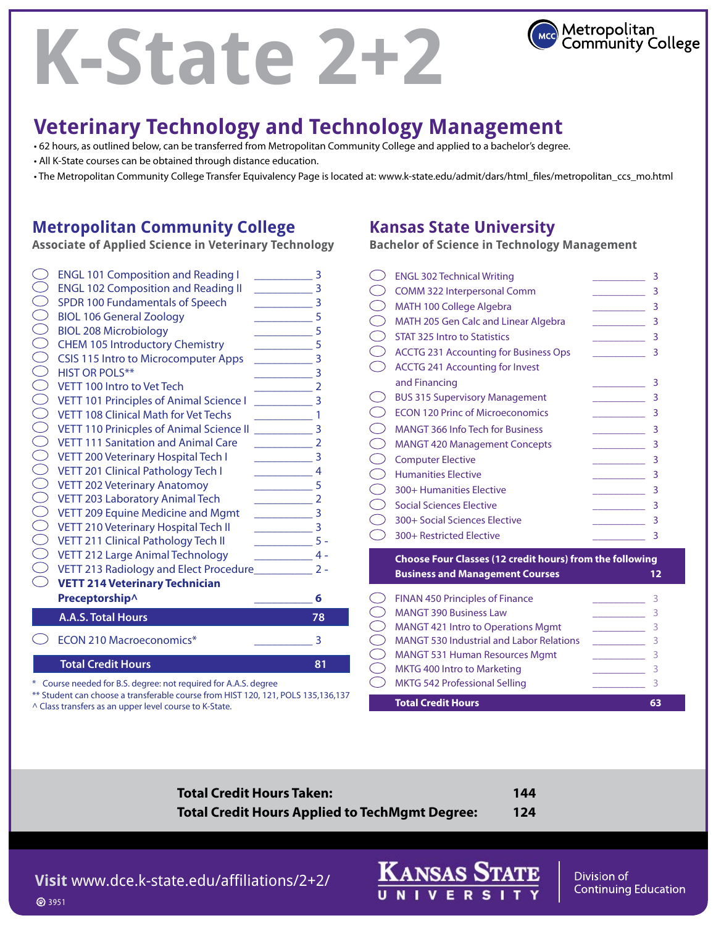# **K-State 2+2**



# **Veterinary Technology and Technology Management**

• 62 hours, as outlined below, can be transferred from Metropolitan Community College and applied to a bachelor's degree.

- All K-State courses can be obtained through distance education.
- The Metropolitan Community College Transfer Equivalency Page is located at: www.k-state.edu/admit/dars/html\_files/metropolitan\_ccs\_mo.html

#### **Metropolitan Community College**

**Associate of Applied Science in Veterinary Technology** 

|                          | <b>ENGL 101 Composition and Reading I</b>                                       | 3                |
|--------------------------|---------------------------------------------------------------------------------|------------------|
| $\overline{\phantom{0}}$ | <b>ENGL 102 Composition and Reading II</b>                                      | 3                |
|                          | SPDR 100 Fundamentals of Speech                                                 | 3                |
| $\sum_{i=1}^{n}$         | <b>BIOL 106 General Zoology</b>                                                 | 5                |
| $\frac{1}{2}$            | <b>BIOL 208 Microbiology</b>                                                    | 5                |
| ŎŎŎŎŎ                    | <b>CHEM 105 Introductory Chemistry</b>                                          | 5                |
|                          | <b>CSIS 115 Intro to Microcomputer Apps</b>                                     | 3                |
|                          | <b>HIST OR POLS**</b>                                                           | 3                |
|                          | VETT 100 Intro to Vet Tech                                                      |                  |
|                          | VETT 101 Principles of Animal Science I                                         | 3                |
|                          | <b>VETT 108 Clinical Math for Vet Techs</b>                                     | 1                |
| $\bigcirc$               | <b>VETT 110 Prinicples of Animal Science II</b>                                 | 3                |
| $\sum_{i=1}^{n}$         | <b>VETT 111 Sanitation and Animal Care</b>                                      | $\overline{2}$   |
| $\bigcirc$               | VETT 200 Veterinary Hospital Tech I                                             | 3                |
|                          | VETT 201 Clinical Pathology Tech I                                              | 4                |
|                          | <b>VETT 202 Veterinary Anatomoy</b>                                             | 5                |
| $\sum_{i=1}^{n}$         | VETT 203 Laboratory Animal Tech                                                 |                  |
|                          | $\supset$ VETT 209 Equine Medicine and Mgmt                                     | 3                |
|                          | ○ VETT 210 Veterinary Hospital Tech II<br>○ VETT 211 Clinical Pathology Tech II | 3                |
|                          | VETT 211 Clinical Pathology Tech II                                             | $5 -$            |
| $\subset$                | VETT 212 Large Animal Technology                                                | $\overline{4}$ . |
|                          | $\supset$ VETT 213 Radiology and Elect Procedure___________                     | $2 -$            |
| $\bigcap$                | <b>VETT 214 Veterinary Technician</b>                                           |                  |
|                          | Preceptorship^                                                                  | 6                |
|                          | <b>A.A.S. Total Hours</b>                                                       | 78               |
|                          | <b>ECON 210 Macroeconomics*</b>                                                 | 3                |
|                          | <b>Total Credit Hours</b>                                                       | 81               |
|                          | Course needed for B.S. degree: not required for A.A.S. degree                   |                  |

\*\* Student can choose a transferable course from HIST 120, 121, POLS 135,136,137 ^ Class transfers as an upper level course to K-State.

### **Kansas State University**

**Bachelor of Science in Technology Management** 

| <b>ENGL 302 Technical Writing</b>                                    | 3 |
|----------------------------------------------------------------------|---|
| <b>COMM 322 Interpersonal Comm</b>                                   | 3 |
| <b>MATH 100 College Algebra</b>                                      | 3 |
| <b>MATH 205 Gen Calc and Linear Algebra</b>                          | 3 |
| <b>STAT 325 Intro to Statistics</b>                                  | 3 |
| <b>ACCTG 231 Accounting for Business Ops</b>                         | 3 |
| <b>ACCTG 241 Accounting for Invest</b>                               |   |
| and Financing                                                        | 3 |
| <b>BUS 315 Supervisory Management</b>                                | 3 |
| <b>ECON 120 Princ of Microeconomics</b>                              | 3 |
| <b>MANGT 366 Info Tech for Business</b>                              | 3 |
| <b>MANGT 420 Management Concepts</b>                                 | 3 |
| <b>Computer Elective</b>                                             | 3 |
| <b>Humanities Elective</b>                                           | 3 |
| 300+ Humanities Elective                                             | 3 |
| <b>Social Sciences Elective</b>                                      | 3 |
| 300+ Social Sciences Elective                                        | 3 |
| 300+ Restricted Elective                                             | 3 |
| <b>Choose Four Classes (12 credit hours) from the following</b><br>. |   |

 **Business and Management Courses 12**  FINAN 450 Principles of Finance \_\_\_\_\_\_\_\_\_\_ 3 MANGT 390 Business Law \_\_\_\_\_\_\_\_\_\_ 3 MANGT 421 Intro to Operations Mgmt \_\_\_\_\_\_\_\_\_\_ 3 MANGT 530 Industrial and Labor Relations MANGT 531 Human Resources Mgmt \_\_\_\_\_\_\_\_\_\_ 3  $\bigcirc$  MKTG 400 Intro to Marketing \_\_\_\_\_\_\_\_\_\_\_\_\_\_\_ 3 MKTG 542 Professional Selling **Example 23** 3 **Total Credit Hours 63 63** 

| <b>Total Credit Hours Taken:</b>                      | 144 |
|-------------------------------------------------------|-----|
| <b>Total Credit Hours Applied to TechMgmt Degree:</b> | 124 |

**Visit** www.dce.k-state.edu/affiliations/2+2/ **3951** 

**KANSAS STATE** 

Division of **Continuing Education**